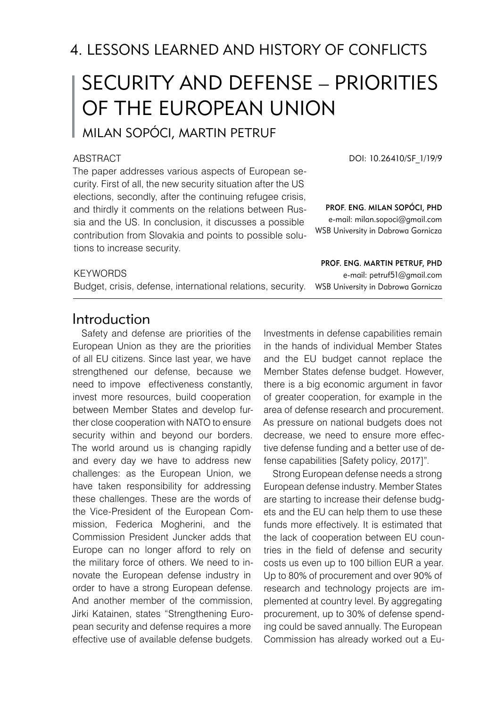# 4. LESSONS LEARNED AND HISTORY OF CONFLICTS

# Security and Defense – Priorities of the European Union

Milan SOPÓCI, Martin PETRUF

#### **ABSTRACT**

The paper addresses various aspects of European security. First of all, the new security situation after the US elections, secondly, after the continuing refugee crisis, and thirdly it comments on the relations between Russia and the US. In conclusion, it discusses a possible contribution from Slovakia and points to possible solutions to increase security.

DOI: 10.26410/SF\_1/19/9

Prof. Eng. Milan SOPÓCI, PhD e-mail: milan.sopoci@gmail.com WSB University in Dabrowa Gornicza

#### **KEYWORDS**

Budget, crisis, defense, international relations, security.

#### Prof. Eng. Martin PETRUF, PhD e-mail: petruf51@gmail.com WSB University in Dabrowa Gornicza

### Introduction

Safety and defense are priorities of the European Union as they are the priorities of all EU citizens. Since last year, we have strengthened our defense, because we need to impove effectiveness constantly, invest more resources, build cooperation between Member States and develop further close cooperation with NATO to ensure security within and beyond our borders. The world around us is changing rapidly and every day we have to address new challenges: as the European Union, we have taken responsibility for addressing these challenges. These are the words of the Vice-President of the European Commission, Federica Mogherini, and the Commission President Juncker adds that Europe can no longer afford to rely on the military force of others. We need to innovate the European defense industry in order to have a strong European defense. And another member of the commission, Jirki Katainen, states "Strengthening European security and defense requires a more effective use of available defense budgets.

Investments in defense capabilities remain in the hands of individual Member States and the EU budget cannot replace the Member States defense budget. However, there is a big economic argument in favor of greater cooperation, for example in the area of defense research and procurement. As pressure on national budgets does not decrease, we need to ensure more effective defense funding and a better use of defense capabilities [Safety policy, 2017]".

Strong European defense needs a strong European defense industry. Member States are starting to increase their defense budgets and the EU can help them to use these funds more effectively. It is estimated that the lack of cooperation between EU countries in the field of defense and security costs us even up to 100 billion EUR a year. Up to 80% of procurement and over 90% of research and technology projects are implemented at country level. By aggregating procurement, up to 30% of defense spending could be saved annually. The European Commission has already worked out a Eu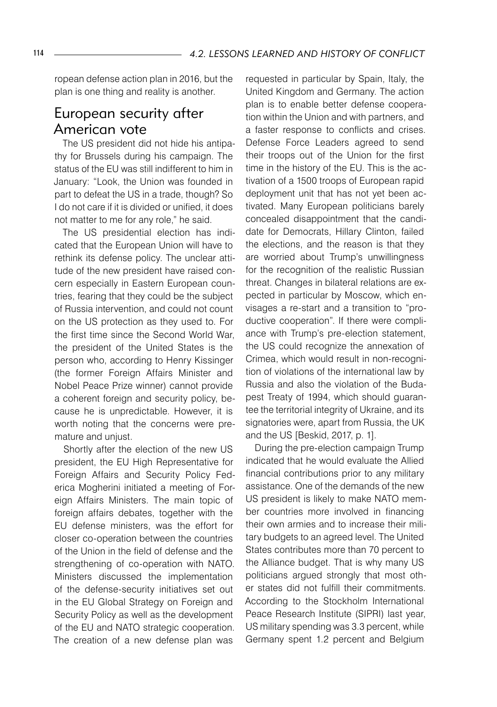ropean defense action plan in 2016, but the plan is one thing and reality is another.

# European security after American vote

The US president did not hide his antipathy for Brussels during his campaign. The status of the EU was still indifferent to him in January: "Look, the Union was founded in part to defeat the US in a trade, though? So I do not care if it is divided or unified, it does not matter to me for any role," he said.

The US presidential election has indicated that the European Union will have to rethink its defense policy. The unclear attitude of the new president have raised concern especially in Eastern European countries, fearing that they could be the subject of Russia intervention, and could not count on the US protection as they used to. For the first time since the Second World War, the president of the United States is the person who, according to Henry Kissinger (the former Foreign Affairs Minister and Nobel Peace Prize winner) cannot provide a coherent foreign and security policy, because he is unpredictable. However, it is worth noting that the concerns were premature and unjust.

Shortly after the election of the new US president, the EU High Representative for Foreign Affairs and Security Policy Federica Mogherini initiated a meeting of Foreign Affairs Ministers. The main topic of foreign affairs debates, together with the EU defense ministers, was the effort for closer co-operation between the countries of the Union in the field of defense and the strengthening of co-operation with NATO. Ministers discussed the implementation of the defense-security initiatives set out in the EU Global Strategy on Foreign and Security Policy as well as the development of the EU and NATO strategic cooperation. The creation of a new defense plan was

requested in particular by Spain, Italy, the United Kingdom and Germany. The action plan is to enable better defense cooperation within the Union and with partners, and a faster response to conflicts and crises. Defense Force Leaders agreed to send their troops out of the Union for the first time in the history of the EU. This is the activation of a 1500 troops of European rapid deployment unit that has not yet been activated. Many European politicians barely concealed disappointment that the candidate for Democrats, Hillary Clinton, failed the elections, and the reason is that they are worried about Trump's unwillingness for the recognition of the realistic Russian threat. Changes in bilateral relations are expected in particular by Moscow, which envisages a re-start and a transition to "productive cooperation". If there were compliance with Trump's pre-election statement, the US could recognize the annexation of Crimea, which would result in non-recognition of violations of the international law by Russia and also the violation of the Budapest Treaty of 1994, which should guarantee the territorial integrity of Ukraine, and its signatories were, apart from Russia, the UK and the US [Beskid, 2017, p. 1].

During the pre-election campaign Trump indicated that he would evaluate the Allied financial contributions prior to any military assistance. One of the demands of the new US president is likely to make NATO member countries more involved in financing their own armies and to increase their military budgets to an agreed level. The United States contributes more than 70 percent to the Alliance budget. That is why many US politicians argued strongly that most other states did not fulfill their commitments. According to the Stockholm International Peace Research Institute (SIPRI) last year, US military spending was 3.3 percent, while Germany spent 1.2 percent and Belgium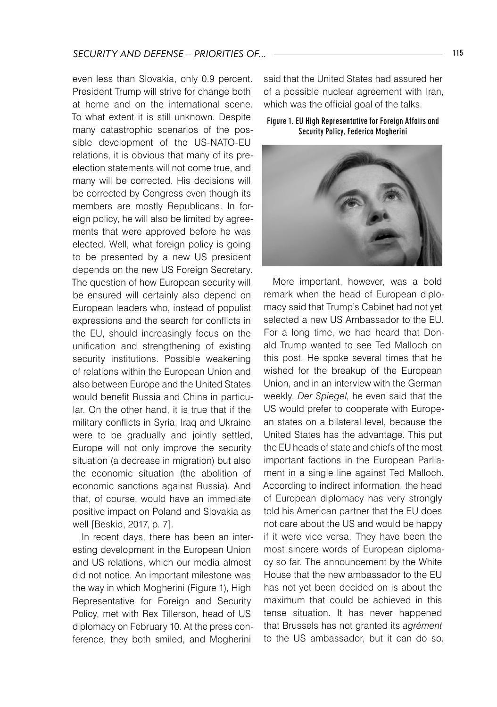even less than Slovakia, only 0.9 percent. President Trump will strive for change both at home and on the international scene. To what extent it is still unknown. Despite many catastrophic scenarios of the possible development of the US-NATO-EU relations, it is obvious that many of its preelection statements will not come true, and many will be corrected. His decisions will be corrected by Congress even though its members are mostly Republicans. In foreign policy, he will also be limited by agreements that were approved before he was elected. Well, what foreign policy is going to be presented by a new US president depends on the new US Foreign Secretary. The question of how European security will be ensured will certainly also depend on European leaders who, instead of populist expressions and the search for conflicts in the EU, should increasingly focus on the unification and strengthening of existing security institutions. Possible weakening of relations within the European Union and also between Europe and the United States would benefit Russia and China in particular. On the other hand, it is true that if the military conflicts in Syria, Iraq and Ukraine were to be gradually and jointly settled, Europe will not only improve the security situation (a decrease in migration) but also the economic situation (the abolition of economic sanctions against Russia). And that, of course, would have an immediate positive impact on Poland and Slovakia as well [Beskid, 2017, p. 7].

In recent days, there has been an interesting development in the European Union and US relations, which our media almost did not notice. An important milestone was the way in which Mogherini (Figure 1), High Representative for Foreign and Security Policy, met with Rex Tillerson, head of US diplomacy on February 10. At the press conference, they both smiled, and Mogherini

said that the United States had assured her of a possible nuclear agreement with Iran, which was the official goal of the talks.

Figure 1. EU High Representative for Foreign Affairs and Security Policy, Federica Mogherini



More important, however, was a bold remark when the head of European diplomacy said that Trump's Cabinet had not yet selected a new US Ambassador to the EU. For a long time, we had heard that Donald Trump wanted to see Ted Malloch on this post. He spoke several times that he wished for the breakup of the European Union, and in an interview with the German weekly, *Der Spiegel*, he even said that the US would prefer to cooperate with European states on a bilateral level, because the United States has the advantage. This put the EU heads of state and chiefs of the most important factions in the European Parliament in a single line against Ted Malloch. According to indirect information, the head of European diplomacy has very strongly told his American partner that the EU does not care about the US and would be happy if it were vice versa. They have been the most sincere words of European diplomacy so far. The announcement by the White House that the new ambassador to the EU has not yet been decided on is about the maximum that could be achieved in this tense situation. It has never happened that Brussels has not granted its *agrément* to the US ambassador, but it can do so.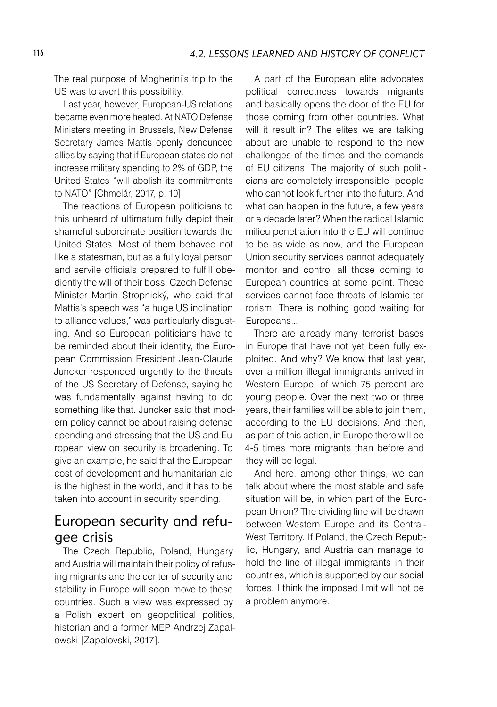The real purpose of Mogherini's trip to the US was to avert this possibility.

Last year, however, European-US relations became even more heated. At NATO Defense Ministers meeting in Brussels, New Defense Secretary James Mattis openly denounced allies by saying that if European states do not increase military spending to 2% of GDP, the United States "will abolish its commitments to NATO" [Chmelár, 2017, p. 10].

The reactions of European politicians to this unheard of ultimatum fully depict their shameful subordinate position towards the United States. Most of them behaved not like a statesman, but as a fully loyal person and servile officials prepared to fulfill obediently the will of their boss. Czech Defense Minister Martin Stropnický, who said that Mattis's speech was "a huge US inclination to alliance values," was particularly disgusting. And so European politicians have to be reminded about their identity, the European Commission President Jean-Claude Juncker responded urgently to the threats of the US Secretary of Defense, saying he was fundamentally against having to do something like that. Juncker said that modern policy cannot be about raising defense spending and stressing that the US and European view on security is broadening. To give an example, he said that the European cost of development and humanitarian aid is the highest in the world, and it has to be taken into account in security spending.

# European security and refugee crisis

The Czech Republic, Poland, Hungary and Austria will maintain their policy of refusing migrants and the center of security and stability in Europe will soon move to these countries. Such a view was expressed by a Polish expert on geopolitical politics, historian and a former MEP Andrzej Zapalowski [Zapalovski, 2017].

A part of the European elite advocates political correctness towards migrants and basically opens the door of the EU for those coming from other countries. What will it result in? The elites we are talking about are unable to respond to the new challenges of the times and the demands of EU citizens. The majority of such politicians are completely irresponsible people who cannot look further into the future. And what can happen in the future, a few years or a decade later? When the radical Islamic milieu penetration into the EU will continue to be as wide as now, and the European Union security services cannot adequately monitor and control all those coming to European countries at some point. These services cannot face threats of Islamic terrorism. There is nothing good waiting for Europeans...

There are already many terrorist bases in Europe that have not yet been fully exploited. And why? We know that last year, over a million illegal immigrants arrived in Western Europe, of which 75 percent are young people. Over the next two or three years, their families will be able to join them, according to the EU decisions. And then, as part of this action, in Europe there will be 4-5 times more migrants than before and they will be legal.

And here, among other things, we can talk about where the most stable and safe situation will be, in which part of the European Union? The dividing line will be drawn between Western Europe and its Central-West Territory. If Poland, the Czech Republic, Hungary, and Austria can manage to hold the line of illegal immigrants in their countries, which is supported by our social forces, I think the imposed limit will not be a problem anymore.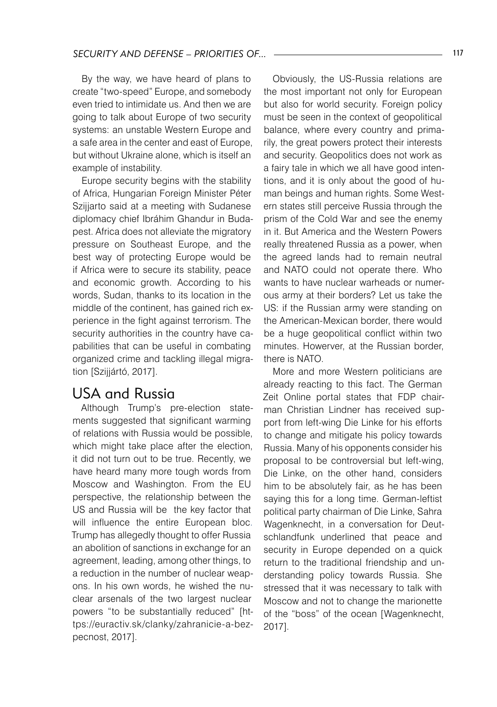By the way, we have heard of plans to create "two-speed" Europe, and somebody even tried to intimidate us. And then we are going to talk about Europe of two security systems: an unstable Western Europe and a safe area in the center and east of Europe, but without Ukraine alone, which is itself an example of instability.

Europe security begins with the stability of Africa, Hungarian Foreign Minister Péter Szijjarto said at a meeting with Sudanese diplomacy chief Ibráhim Ghandur in Budapest. Africa does not alleviate the migratory pressure on Southeast Europe, and the best way of protecting Europe would be if Africa were to secure its stability, peace and economic growth. According to his words, Sudan, thanks to its location in the middle of the continent, has gained rich experience in the fight against terrorism. The security authorities in the country have capabilities that can be useful in combating organized crime and tackling illegal migration [Szijjártó, 2017].

## USA and Russia

Although Trump's pre-election statements suggested that significant warming of relations with Russia would be possible, which might take place after the election, it did not turn out to be true. Recently, we have heard many more tough words from Moscow and Washington. From the EU perspective, the relationship between the US and Russia will be the key factor that will influence the entire European bloc. Trump has allegedly thought to offer Russia an abolition of sanctions in exchange for an agreement, leading, among other things, to a reduction in the number of nuclear weapons. In his own words, he wished the nuclear arsenals of the two largest nuclear powers "to be substantially reduced" [https://euractiv.sk/clanky/zahranicie-a-bezpecnost, 2017].

Obviously, the US-Russia relations are the most important not only for European but also for world security. Foreign policy must be seen in the context of geopolitical balance, where every country and primarily, the great powers protect their interests and security. Geopolitics does not work as a fairy tale in which we all have good intentions, and it is only about the good of human beings and human rights. Some Western states still perceive Russia through the prism of the Cold War and see the enemy in it. But America and the Western Powers really threatened Russia as a power, when the agreed lands had to remain neutral and NATO could not operate there. Who wants to have nuclear warheads or numerous army at their borders? Let us take the US: if the Russian army were standing on the American-Mexican border, there would be a huge geopolitical conflict within two minutes. Howerver, at the Russian border, there is NATO.

More and more Western politicians are already reacting to this fact. The German Zeit Online portal states that FDP chairman Christian Lindner has received support from left-wing Die Linke for his efforts to change and mitigate his policy towards Russia. Many of his opponents consider his proposal to be controversial but left-wing, Die Linke, on the other hand, considers him to be absolutely fair, as he has been saying this for a long time. German-leftist political party chairman of Die Linke, Sahra Wagenknecht, in a conversation for Deutschlandfunk underlined that peace and security in Europe depended on a quick return to the traditional friendship and understanding policy towards Russia. She stressed that it was necessary to talk with Moscow and not to change the marionette of the "boss" of the ocean [Wagenknecht, 2017].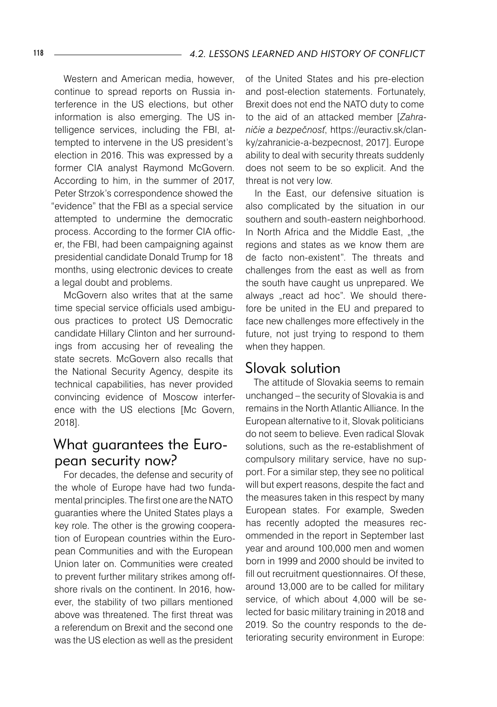Western and American media, however, continue to spread reports on Russia interference in the US elections, but other information is also emerging. The US intelligence services, including the FBI, attempted to intervene in the US president's election in 2016. This was expressed by a former CIA analyst Raymond McGovern. According to him, in the summer of 2017, Peter Strzok's correspondence showed the "evidence" that the FBI as a special service attempted to undermine the democratic process. According to the former CIA officer, the FBI, had been campaigning against presidential candidate Donald Trump for 18 months, using electronic devices to create a legal doubt and problems.

McGovern also writes that at the same time special service officials used ambiguous practices to protect US Democratic candidate Hillary Clinton and her surroundings from accusing her of revealing the state secrets. McGovern also recalls that the National Security Agency, despite its technical capabilities, has never provided convincing evidence of Moscow interference with the US elections [Mc Govern, 2018].

# What guarantees the European security now?

For decades, the defense and security of the whole of Europe have had two fundamental principles. The first one are the NATO guaranties where the United States plays a key role. The other is the growing cooperation of European countries within the European Communities and with the European Union later on. Communities were created to prevent further military strikes among offshore rivals on the continent. In 2016, however, the stability of two pillars mentioned above was threatened. The first threat was a referendum on Brexit and the second one was the US election as well as the president

of the United States and his pre-election and post-election statements. Fortunately, Brexit does not end the NATO duty to come to the aid of an attacked member [*Zahraničie a bezpečnosť*, https://euractiv.sk/clanky/zahranicie-a-bezpecnost, 2017]. Europe ability to deal with security threats suddenly does not seem to be so explicit. And the threat is not very low.

In the East, our defensive situation is also complicated by the situation in our southern and south-eastern neighborhood. In North Africa and the Middle East, "the regions and states as we know them are de facto non-existent". The threats and challenges from the east as well as from the south have caught us unprepared. We always "react ad hoc". We should therefore be united in the EU and prepared to face new challenges more effectively in the future, not just trying to respond to them when they happen.

#### Slovak solution

The attitude of Slovakia seems to remain unchanged – the security of Slovakia is and remains in the North Atlantic Alliance. In the European alternative to it, Slovak politicians do not seem to believe. Even radical Slovak solutions, such as the re-establishment of compulsory military service, have no support. For a similar step, they see no political will but expert reasons, despite the fact and the measures taken in this respect by many European states. For example, Sweden has recently adopted the measures recommended in the report in September last year and around 100,000 men and women born in 1999 and 2000 should be invited to fill out recruitment questionnaires. Of these, around 13,000 are to be called for military service, of which about 4,000 will be selected for basic military training in 2018 and 2019. So the country responds to the deteriorating security environment in Europe: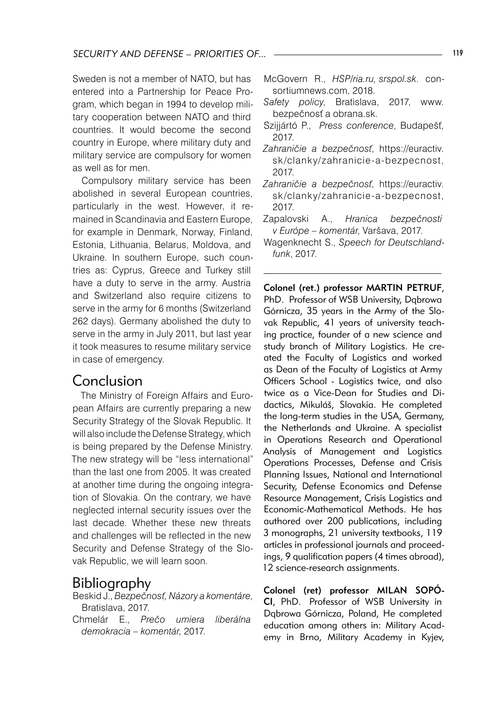Sweden is not a member of NATO, but has entered into a Partnership for Peace Program, which began in 1994 to develop military cooperation between NATO and third countries. It would become the second country in Europe, where military duty and military service are compulsory for women as well as for men.

Compulsory military service has been abolished in several European countries, particularly in the west. However, it remained in Scandinavia and Eastern Europe, for example in Denmark, Norway, Finland, Estonia, Lithuania, Belarus, Moldova, and Ukraine. In southern Europe, such countries as: Cyprus, Greece and Turkey still have a duty to serve in the army. Austria and Switzerland also require citizens to serve in the army for 6 months (Switzerland 262 days). Germany abolished the duty to serve in the army in July 2011, but last year it took measures to resume military service in case of emergency.

## Conclusion

The Ministry of Foreign Affairs and European Affairs are currently preparing a new Security Strategy of the Slovak Republic. It will also include the Defense Strategy, which is being prepared by the Defense Ministry. The new strategy will be "less international" than the last one from 2005. It was created at another time during the ongoing integration of Slovakia. On the contrary, we have neglected internal security issues over the last decade. Whether these new threats and challenges will be reflected in the new Security and Defense Strategy of the Slovak Republic, we will learn soon.

## Bibliography

Beskid J., *Bezpečnosť, Názory a komentáre*, Bratislava, 2017.

Chmelár E., *Prečo umiera liberálna demokracia – komentár*, 2017.

- McGovern R., *HSP/ria.ru, srspol.sk*. consortiumnews.com, 2018.
- *Safety policy*, Bratislava, 2017, www. bezpečnosť a obrana.sk.
- Szijjártó P., *Press conference*, Budapešť, 2017.
- *Zahraničie a bezpečnosť*, https://euractiv. sk/clanky/zahranicie-a-bezpecnost, 2017.
- *Zahraničie a bezpečnosť*, https://euractiv. sk/clanky/zahranicie-a-bezpecnost, 2017.
- Zapalovski A., *Hranica bezpečnosti v Európe – komentár*, Varšava, 2017.
- Wagenknecht S., *Speech for Deutschlandfunk*, 2017.

Colonel (ret.) professor MARTIN PETRUF, PhD. Professor of WSB University, Dąbrowa Górnicza, 35 years in the Army of the Slovak Republic, 41 years of university teaching practice, founder of a new science and study branch of Military Logistics. He created the Faculty of Logistics and worked as Dean of the Faculty of Logistics at Army Officers School - Logistics twice, and also twice as a Vice-Dean for Studies and Didactics, Mikuláš, Slovakia. He completed the long-term studies in the USA, Germany, the Netherlands and Ukraine. A specialist in Operations Research and Operational Analysis of Management and Logistics Operations Processes, Defense and Crisis Planning Issues, National and International Security, Defense Economics and Defense Resource Management, Crisis Logistics and Economic-Mathematical Methods. He has authored over 200 publications, including 3 monographs, 21 university textbooks, 119 articles in professional journals and proceedings, 9 qualification papers (4 times abroad), 12 science-research assignments.

Colonel (ret) professor MILAN SOPÓ-CI, PhD. Professor of WSB University in Dąbrowa Górnicza, Poland, He completed education among others in: Military Academy in Brno, Military Academy in Kyjev,